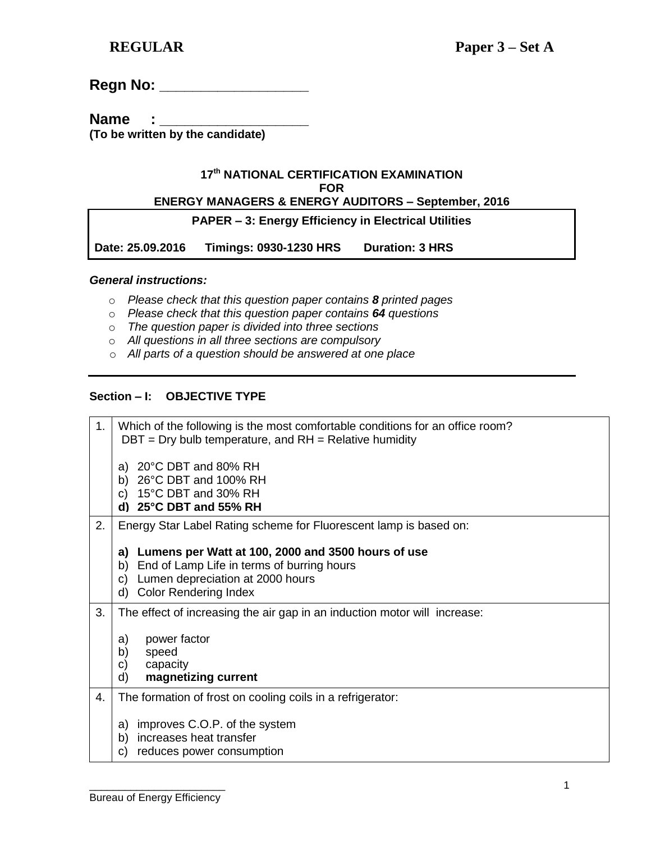| <b>Regn No:</b> |  |
|-----------------|--|
|-----------------|--|

**Name :** 

**(To be written by the candidate)**

### **17 th NATIONAL CERTIFICATION EXAMINATION FOR**

# **ENERGY MANAGERS & ENERGY AUDITORS – September, 2016**

**PAPER – 3: Energy Efficiency in Electrical Utilities** 

**Date: 25.09.2016 Timings: 0930-1230 HRS Duration: 3 HRS** 

### *General instructions:*

- o *Please check that this question paper contains 8 printed pages*
- o *Please check that this question paper contains 64 questions*
- o *The question paper is divided into three sections*
- o *All questions in all three sections are compulsory*
- o *All parts of a question should be answered at one place*

## **Section – I: OBJECTIVE TYPE**

| 1. | Which of the following is the most comfortable conditions for an office room?<br>$DBT = Dry$ bulb temperature, and $RH = Relative$ humidity                                                  |
|----|----------------------------------------------------------------------------------------------------------------------------------------------------------------------------------------------|
|    | 20°C DBT and 80% RH<br>a)<br>b) $26^{\circ}$ C DBT and 100% RH<br>15°C DBT and 30% RH<br>C)<br>d) $25^{\circ}$ C DBT and 55% RH                                                              |
| 2. | Energy Star Label Rating scheme for Fluorescent lamp is based on:                                                                                                                            |
|    | Lumens per Watt at 100, 2000 and 3500 hours of use<br>a)<br>End of Lamp Life in terms of burring hours<br>b)<br>Lumen depreciation at 2000 hours<br>C)<br><b>Color Rendering Index</b><br>d) |
| 3. | The effect of increasing the air gap in an induction motor will increase:<br>power factor<br>a)<br>b)<br>speed<br>capacity<br>C)<br>magnetizing current<br>d)                                |
| 4. | The formation of frost on cooling coils in a refrigerator:                                                                                                                                   |
|    | improves C.O.P. of the system<br>a)<br>increases heat transfer<br>b)<br>reduces power consumption<br>C)                                                                                      |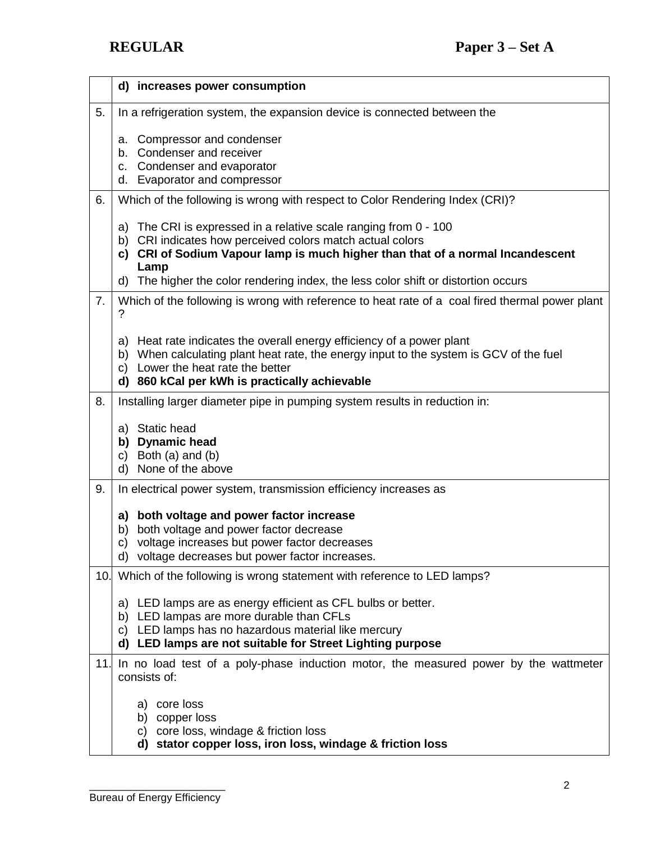|                 | d) increases power consumption                                                                                                                                                                                                                                    |
|-----------------|-------------------------------------------------------------------------------------------------------------------------------------------------------------------------------------------------------------------------------------------------------------------|
| 5.              | In a refrigeration system, the expansion device is connected between the                                                                                                                                                                                          |
|                 | Compressor and condenser<br>а.<br>b. Condenser and receiver<br>Condenser and evaporator<br>с.<br>d. Evaporator and compressor                                                                                                                                     |
| 6.              | Which of the following is wrong with respect to Color Rendering Index (CRI)?                                                                                                                                                                                      |
|                 | The CRI is expressed in a relative scale ranging from 0 - 100<br>a)<br>CRI indicates how perceived colors match actual colors<br>b)<br>CRI of Sodium Vapour lamp is much higher than that of a normal Incandescent<br>C)<br>Lamp                                  |
|                 | The higher the color rendering index, the less color shift or distortion occurs<br>d)                                                                                                                                                                             |
| 7.              | Which of the following is wrong with reference to heat rate of a coal fired thermal power plant<br>?                                                                                                                                                              |
|                 | Heat rate indicates the overall energy efficiency of a power plant<br>a)<br>When calculating plant heat rate, the energy input to the system is GCV of the fuel<br>b)<br>Lower the heat rate the better<br>C)<br>860 kCal per kWh is practically achievable<br>d) |
| 8.              | Installing larger diameter pipe in pumping system results in reduction in:                                                                                                                                                                                        |
|                 | a) Static head<br>b) Dynamic head<br>c) Both $(a)$ and $(b)$<br>None of the above<br>d)                                                                                                                                                                           |
| 9.              | In electrical power system, transmission efficiency increases as                                                                                                                                                                                                  |
|                 | both voltage and power factor increase<br>a)<br>both voltage and power factor decrease<br>b)<br>voltage increases but power factor decreases<br>C)<br>d) voltage decreases but power factor increases.                                                            |
| 10 <sub>1</sub> | Which of the following is wrong statement with reference to LED lamps?                                                                                                                                                                                            |
|                 | a) LED lamps are as energy efficient as CFL bulbs or better.<br>LED lampas are more durable than CFLs<br>b)<br>LED lamps has no hazardous material like mercury<br>C)<br>d) LED lamps are not suitable for Street Lighting purpose                                |
| 11.             | In no load test of a poly-phase induction motor, the measured power by the wattmeter<br>consists of:                                                                                                                                                              |
|                 | a) core loss<br>b) copper loss<br>c) core loss, windage & friction loss<br>stator copper loss, iron loss, windage & friction loss<br>d)                                                                                                                           |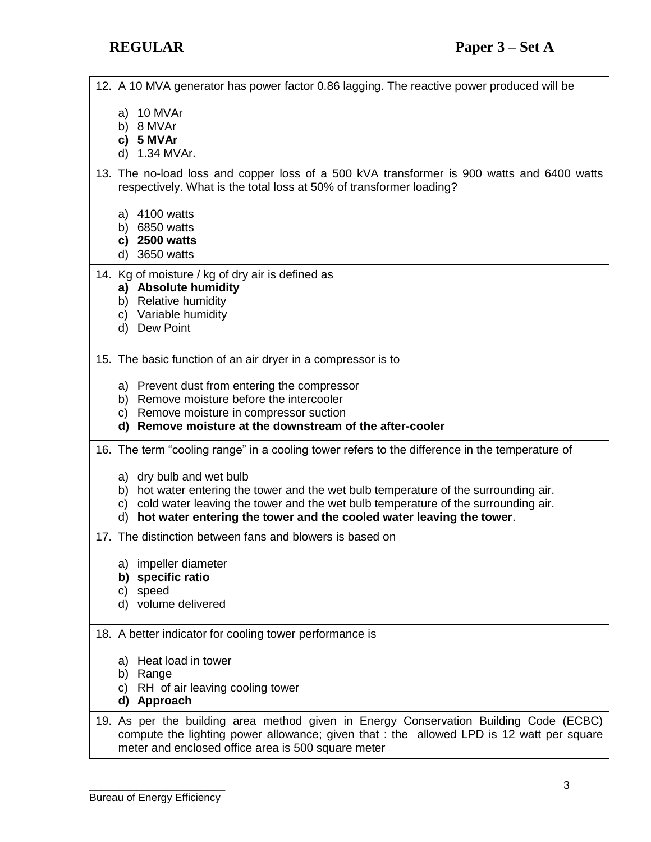| 12.             | A 10 MVA generator has power factor 0.86 lagging. The reactive power produced will be                                                                                                                                               |
|-----------------|-------------------------------------------------------------------------------------------------------------------------------------------------------------------------------------------------------------------------------------|
|                 | 10 MVAr<br>a)<br>b) 8 MVAr                                                                                                                                                                                                          |
|                 | 5 MVAr<br>C)<br>1.34 MVAr.<br>d)                                                                                                                                                                                                    |
| 13.             | The no-load loss and copper loss of a 500 kVA transformer is 900 watts and 6400 watts<br>respectively. What is the total loss at 50% of transformer loading?                                                                        |
|                 | a) 4100 watts<br>b) 6850 watts<br>c) 2500 watts<br>3650 watts<br>d)                                                                                                                                                                 |
|                 | 14. Kg of moisture / kg of dry air is defined as                                                                                                                                                                                    |
|                 | a) Absolute humidity<br>b) Relative humidity                                                                                                                                                                                        |
|                 | c) Variable humidity<br>d) Dew Point                                                                                                                                                                                                |
|                 |                                                                                                                                                                                                                                     |
| 15.             | The basic function of an air dryer in a compressor is to                                                                                                                                                                            |
|                 | a) Prevent dust from entering the compressor<br>b) Remove moisture before the intercooler                                                                                                                                           |
|                 | c) Remove moisture in compressor suction                                                                                                                                                                                            |
|                 | Remove moisture at the downstream of the after-cooler<br>d)                                                                                                                                                                         |
| 16.             | The term "cooling range" in a cooling tower refers to the difference in the temperature of                                                                                                                                          |
|                 | a) dry bulb and wet bulb<br>b) hot water entering the tower and the wet bulb temperature of the surrounding air.                                                                                                                    |
|                 | cold water leaving the tower and the wet bulb temperature of the surrounding air.<br>C)<br>hot water entering the tower and the cooled water leaving the tower.<br>d)                                                               |
| 17.             | The distinction between fans and blowers is based on                                                                                                                                                                                |
|                 | a) impeller diameter                                                                                                                                                                                                                |
|                 | b) specific ratio<br>c) speed                                                                                                                                                                                                       |
|                 | d) volume delivered                                                                                                                                                                                                                 |
|                 | 18. A better indicator for cooling tower performance is                                                                                                                                                                             |
|                 | a) Heat load in tower                                                                                                                                                                                                               |
|                 | b) Range<br>c) RH of air leaving cooling tower                                                                                                                                                                                      |
|                 | d) Approach                                                                                                                                                                                                                         |
| 19 <sub>1</sub> | As per the building area method given in Energy Conservation Building Code (ECBC)<br>compute the lighting power allowance; given that : the allowed LPD is 12 watt per square<br>meter and enclosed office area is 500 square meter |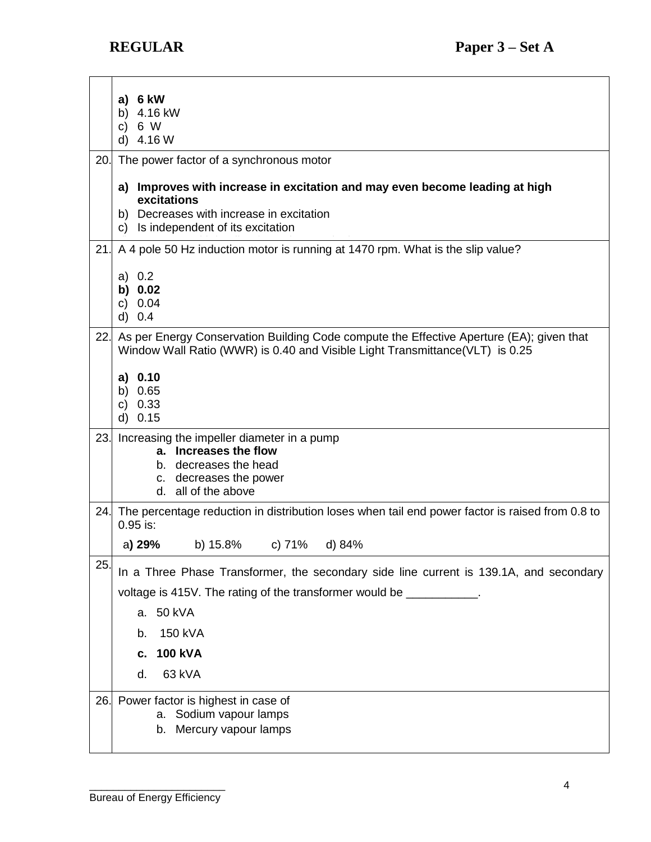|     | a) $6 \, \text{kW}$<br>b) 4.16 kW<br>6 W<br>C)<br>d) $4.16 W$                                                                                                                                |
|-----|----------------------------------------------------------------------------------------------------------------------------------------------------------------------------------------------|
| 20. | The power factor of a synchronous motor                                                                                                                                                      |
|     | a) Improves with increase in excitation and may even become leading at high<br>excitations<br>b) Decreases with increase in excitation<br>Is independent of its excitation<br>C)             |
| 21. | A 4 pole 50 Hz induction motor is running at 1470 rpm. What is the slip value?                                                                                                               |
|     | a) 0.2<br>b) $0.02$<br>c) $0.04$<br>d) 0.4                                                                                                                                                   |
| 22. | As per Energy Conservation Building Code compute the Effective Aperture (EA); given that<br>Window Wall Ratio (WWR) is 0.40 and Visible Light Transmittance (VLT) is 0.25                    |
|     | a) 0.10<br>b) $0.65$<br>c) $0.33$<br>$d)$ 0.15                                                                                                                                               |
| 23. | Increasing the impeller diameter in a pump<br>a. Increases the flow<br>b. decreases the head<br>c. decreases the power<br>d. all of the above                                                |
| 24. | The percentage reduction in distribution loses when tail end power factor is raised from 0.8 to<br>$0.95$ is:                                                                                |
|     | c) 71%<br>a) 29%<br>b) 15.8%<br>d) 84%                                                                                                                                                       |
| 25  | In a Three Phase Transformer, the secondary side line current is 139.1A, and secondary<br>voltage is 415V. The rating of the transformer would be ___________.<br>a. 50 kVA<br>150 kVA<br>b. |
|     | <b>100 kVA</b><br>с.                                                                                                                                                                         |
|     | 63 kVA<br>d.                                                                                                                                                                                 |
| 26. | Power factor is highest in case of<br>Sodium vapour lamps<br>а.<br>Mercury vapour lamps<br>b.                                                                                                |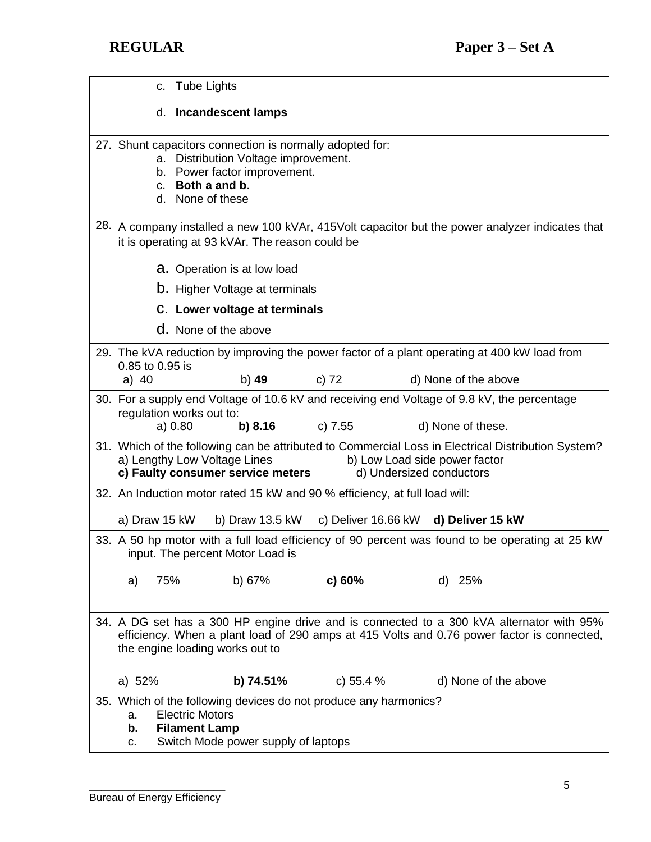|     | c. Tube Lights                                                                                                                                                                                                                   |
|-----|----------------------------------------------------------------------------------------------------------------------------------------------------------------------------------------------------------------------------------|
|     | d. Incandescent lamps                                                                                                                                                                                                            |
| 27. | Shunt capacitors connection is normally adopted for:<br>a. Distribution Voltage improvement.<br>b. Power factor improvement.<br>c. Both a and b.<br>d. None of these                                                             |
| 28. | A company installed a new 100 kVAr, 415Volt capacitor but the power analyzer indicates that<br>it is operating at 93 kVAr. The reason could be                                                                                   |
|     | a. Operation is at low load                                                                                                                                                                                                      |
|     | <b>b.</b> Higher Voltage at terminals                                                                                                                                                                                            |
|     | C. Lower voltage at terminals                                                                                                                                                                                                    |
|     | <b>d.</b> None of the above                                                                                                                                                                                                      |
| 29. | The kVA reduction by improving the power factor of a plant operating at 400 kW load from<br>0.85 to 0.95 is                                                                                                                      |
|     | a) $40$<br>b) 49<br>c) $72$<br>d) None of the above                                                                                                                                                                              |
| 30. | For a supply end Voltage of 10.6 kV and receiving end Voltage of 9.8 kV, the percentage<br>regulation works out to:<br>b) 8.16<br>c) 7.55<br>a) 0.80<br>d) None of these.                                                        |
| 31. | Which of the following can be attributed to Commercial Loss in Electrical Distribution System?<br>a) Lengthy Low Voltage Lines<br>b) Low Load side power factor<br>c) Faulty consumer service meters<br>d) Undersized conductors |
| 32. | An Induction motor rated 15 kW and 90 % efficiency, at full load will:                                                                                                                                                           |
|     | a) Draw 15 kW<br>b) Draw 13.5 kW<br>c) Deliver 16.66 kW d) Deliver 15 kW                                                                                                                                                         |
| 33. | A 50 hp motor with a full load efficiency of 90 percent was found to be operating at 25 kW<br>input. The percent Motor Load is                                                                                                   |
|     | b) 67%<br>75%<br>c) $60%$<br>d) 25%<br>a)                                                                                                                                                                                        |
| 34. | A DG set has a 300 HP engine drive and is connected to a 300 kVA alternator with 95%<br>efficiency. When a plant load of 290 amps at 415 Volts and 0.76 power factor is connected,<br>the engine loading works out to            |
|     | a) 52%<br>b) 74.51%<br>c) 55.4 %<br>d) None of the above                                                                                                                                                                         |
| 35. | Which of the following devices do not produce any harmonics?<br><b>Electric Motors</b><br>a.<br><b>Filament Lamp</b><br>b.<br>Switch Mode power supply of laptops<br>c.                                                          |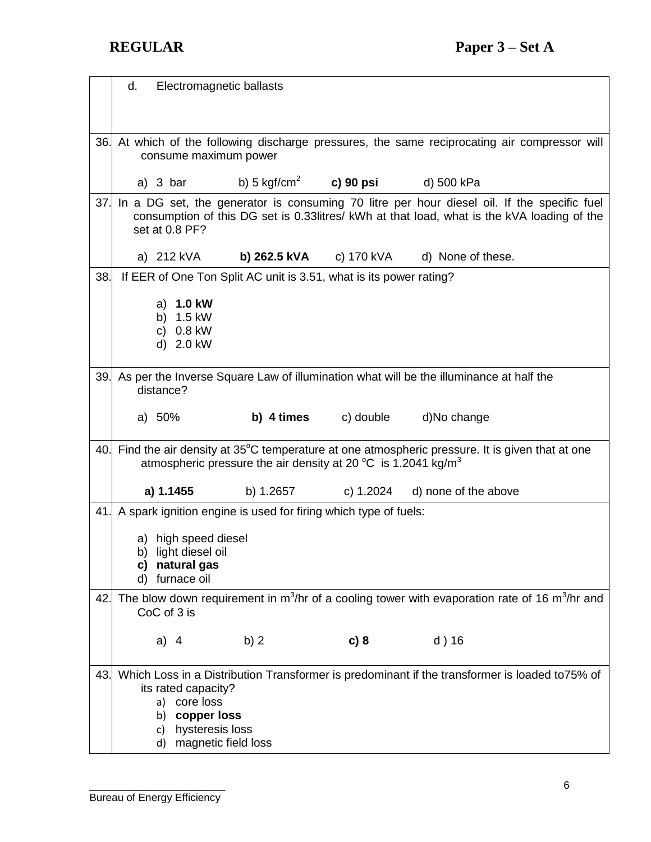|     | d.<br>Electromagnetic ballasts                                                                                                                                                                              |
|-----|-------------------------------------------------------------------------------------------------------------------------------------------------------------------------------------------------------------|
|     |                                                                                                                                                                                                             |
| 36. | At which of the following discharge pressures, the same reciprocating air compressor will<br>consume maximum power                                                                                          |
|     | b) 5 kgf/cm <sup>2</sup><br>c) 90 psi<br>a) $3 \text{ bar}$<br>d) 500 kPa                                                                                                                                   |
| 37. | In a DG set, the generator is consuming 70 litre per hour diesel oil. If the specific fuel<br>consumption of this DG set is 0.33 litres/ kWh at that load, what is the kVA loading of the<br>set at 0.8 PF? |
|     | a) 212 kVA<br>b) 262.5 kVA<br>c) 170 kVA<br>d) None of these.                                                                                                                                               |
| 38. | If EER of One Ton Split AC unit is 3.51, what is its power rating?                                                                                                                                          |
|     | 1.0 kW<br>a)                                                                                                                                                                                                |
|     | 1.5 kW<br>b)                                                                                                                                                                                                |
|     | 0.8 kW<br>C)                                                                                                                                                                                                |
|     | d) 2.0 kW                                                                                                                                                                                                   |
|     |                                                                                                                                                                                                             |
| 39. | As per the Inverse Square Law of illumination what will be the illuminance at half the<br>distance?                                                                                                         |
|     |                                                                                                                                                                                                             |
|     | <b>b)</b> 4 times c) double<br>a) $50%$<br>d)No change                                                                                                                                                      |
| 40. | Find the air density at 35°C temperature at one atmospheric pressure. It is given that at one<br>atmospheric pressure the air density at 20 $^{\circ}$ C is 1.2041 kg/m <sup>3</sup>                        |
|     | a) 1.1455<br>b) 1.2657<br>c) 1.2024<br>d) none of the above                                                                                                                                                 |
| 41. | A spark ignition engine is used for firing which type of fuels:                                                                                                                                             |
|     | a) high speed diesel                                                                                                                                                                                        |
|     | b) light diesel oil                                                                                                                                                                                         |
|     | c) natural gas                                                                                                                                                                                              |
|     | furnace oil<br>d)                                                                                                                                                                                           |
| 42. | The blow down requirement in $m^3/hr$ of a cooling tower with evaporation rate of 16 $m^3/hr$ and<br>CoC of 3 is                                                                                            |
|     | b)2<br>$d)$ 16<br>a) $4$<br>c) 8                                                                                                                                                                            |
|     |                                                                                                                                                                                                             |
| 43. | Which Loss in a Distribution Transformer is predominant if the transformer is loaded to75% of<br>its rated capacity?                                                                                        |
|     | a) core loss<br>copper loss<br>b)                                                                                                                                                                           |
|     | hysteresis loss<br>C)                                                                                                                                                                                       |
|     | magnetic field loss<br>d)                                                                                                                                                                                   |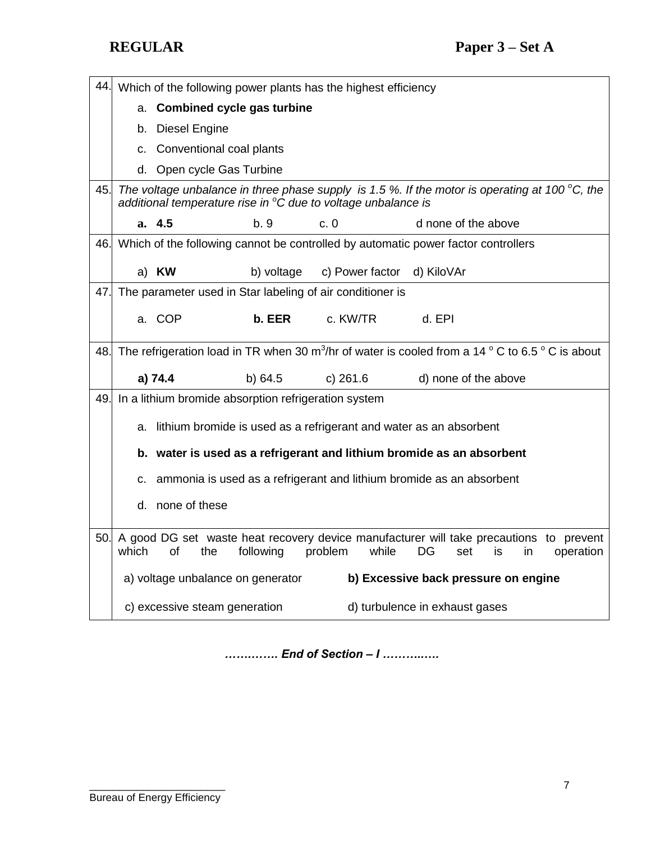44. Which of the following power plants has the highest efficiency a. **Combined cycle gas turbine** b. Diesel Engine c. Conventional coal plants d. Open cycle Gas Turbine 45. *The voltage unbalance in three phase supply is 1.5 %. If the motor is operating at 100 °C, the additional temperature rise in <sup>o</sup>C due to voltage unbalance is*  **a. 4.5** b. 9 c. 0 d none of the above 46. Which of the following cannot be controlled by automatic power factor controllers a) **KW** b) voltage c) Power factor d) KiloVAr 47. The parameter used in Star labeling of air conditioner is a. COP **b. EER** c. KW/TR d. EPI 48. The refrigeration load in TR when 30 m<sup>3</sup>/hr of water is cooled from a 14  $^{\circ}$  C to 6.5  $^{\circ}$  C is about  **a) 74.4** b) 64.5 c) 261.6 d) none of the above 49. In a lithium bromide absorption refrigeration system a. lithium bromide is used as a refrigerant and water as an absorbent **b. water is used as a refrigerant and lithium bromide as an absorbent** c. ammonia is used as a refrigerant and lithium bromide as an absorbent d. none of these 50. A good DG set waste heat recovery device manufacturer will take precautions to prevent which of the following problem while DG set is in operation a) voltage unbalance on generator **b) Excessive back pressure on engine** c) excessive steam generation d) turbulence in exhaust gases

*…….……. End of Section – I ………..….*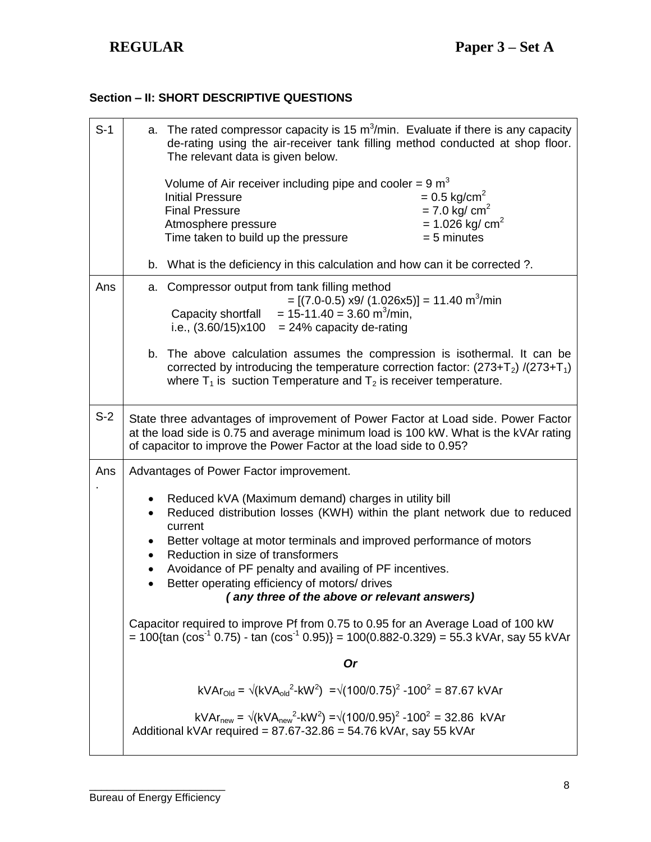# **Section – II: SHORT DESCRIPTIVE QUESTIONS**

| $S-1$ | a. The rated compressor capacity is 15 $m3/min$ . Evaluate if there is any capacity<br>de-rating using the air-receiver tank filling method conducted at shop floor.<br>The relevant data is given below.<br>Volume of Air receiver including pipe and cooler = 9 $m3$ |
|-------|------------------------------------------------------------------------------------------------------------------------------------------------------------------------------------------------------------------------------------------------------------------------|
|       | $= 0.5$ kg/cm <sup>2</sup><br><b>Initial Pressure</b><br>$= 7.0$ kg/ cm <sup>2</sup><br><b>Final Pressure</b><br>$= 1.026$ kg/ cm <sup>2</sup><br>Atmosphere pressure<br>Time taken to build up the pressure<br>$= 5$ minutes                                          |
|       | b. What is the deficiency in this calculation and how can it be corrected ?.                                                                                                                                                                                           |
| Ans   | Compressor output from tank filling method<br>a.<br>$=[(7.0-0.5) \times 9/(1.026 \times 5)] = 11.40 \text{ m}^3/\text{min}$<br>Capacity shortfall = $15-11.40 = 3.60$ m <sup>3</sup> /min,<br>i.e., $(3.60/15)x100 = 24%$ capacity de-rating                           |
|       | b. The above calculation assumes the compression is isothermal. It can be<br>corrected by introducing the temperature correction factor: $(273+T_2)/(273+T_1)$<br>where $T_1$ is suction Temperature and $T_2$ is receiver temperature.                                |
| $S-2$ | State three advantages of improvement of Power Factor at Load side. Power Factor<br>at the load side is 0.75 and average minimum load is 100 kW. What is the kVAr rating<br>of capacitor to improve the Power Factor at the load side to 0.95?                         |
| Ans   | Advantages of Power Factor improvement.                                                                                                                                                                                                                                |
|       | Reduced kVA (Maximum demand) charges in utility bill<br>Reduced distribution losses (KWH) within the plant network due to reduced<br>current<br>Better voltage at motor terminals and improved performance of motors<br>٠                                              |
|       | Reduction in size of transformers<br>$\bullet$                                                                                                                                                                                                                         |
|       | Avoidance of PF penalty and availing of PF incentives.<br>Better operating efficiency of motors/ drives                                                                                                                                                                |
|       | (any three of the above or relevant answers)                                                                                                                                                                                                                           |
|       | Capacitor required to improve Pf from 0.75 to 0.95 for an Average Load of 100 kW<br>$= 100$ {tan (cos <sup>-1</sup> 0.75) - tan (cos <sup>-1</sup> 0.95)} = 100(0.882-0.329) = 55.3 kVAr, say 55 kVAr                                                                  |
|       | <b>Or</b>                                                                                                                                                                                                                                                              |
|       | $kVAr_{\text{Old}} = \sqrt{(kVA_{\text{old}}^2 - kW^2)} = \sqrt{(100/0.75)^2 - 100^2} = 87.67$ kVAr                                                                                                                                                                    |
|       | $kVAr_{new} = \sqrt{(kVA_{new}^2-kW^2)} = \sqrt{(100/0.95)^2 - 100^2} = 32.86$ kVAr<br>Additional kVAr required = $87.67 - 32.86 = 54.76$ kVAr, say 55 kVAr                                                                                                            |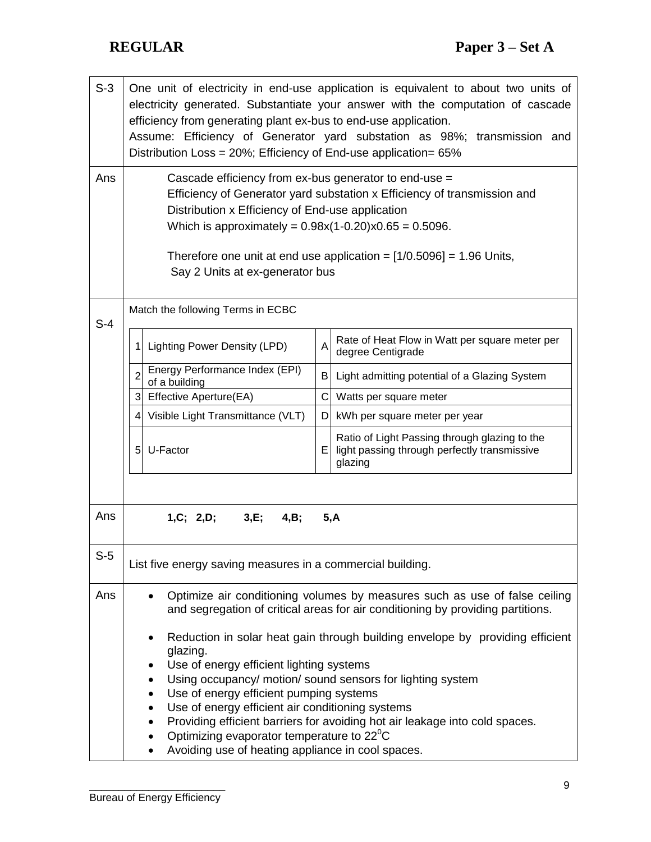| $S-3$ | One unit of electricity in end-use application is equivalent to about two units of<br>electricity generated. Substantiate your answer with the computation of cascade<br>efficiency from generating plant ex-bus to end-use application.<br>Assume: Efficiency of Generator yard substation as 98%; transmission and<br>Distribution Loss = 20%; Efficiency of End-use application= 65% |   |                                                                                                                                                               |
|-------|-----------------------------------------------------------------------------------------------------------------------------------------------------------------------------------------------------------------------------------------------------------------------------------------------------------------------------------------------------------------------------------------|---|---------------------------------------------------------------------------------------------------------------------------------------------------------------|
| Ans   | Cascade efficiency from ex-bus generator to end-use =<br>Efficiency of Generator yard substation x Efficiency of transmission and<br>Distribution x Efficiency of End-use application<br>Which is approximately = $0.98x(1-0.20)x0.65 = 0.5096$ .<br>Therefore one unit at end use application = $[1/0.5096]$ = 1.96 Units,<br>Say 2 Units at ex-generator bus                          |   |                                                                                                                                                               |
| $S-4$ | Match the following Terms in ECBC                                                                                                                                                                                                                                                                                                                                                       |   |                                                                                                                                                               |
|       | <b>Lighting Power Density (LPD)</b>                                                                                                                                                                                                                                                                                                                                                     | A | Rate of Heat Flow in Watt per square meter per<br>degree Centigrade                                                                                           |
|       | Energy Performance Index (EPI)<br>$\overline{2}$<br>of a building                                                                                                                                                                                                                                                                                                                       | B | Light admitting potential of a Glazing System                                                                                                                 |
|       | Effective Aperture(EA)<br>3                                                                                                                                                                                                                                                                                                                                                             | C | Watts per square meter                                                                                                                                        |
|       | 4 Visible Light Transmittance (VLT)                                                                                                                                                                                                                                                                                                                                                     | D | kWh per square meter per year                                                                                                                                 |
|       | U-Factor<br>5 <sub>l</sub>                                                                                                                                                                                                                                                                                                                                                              | Е | Ratio of Light Passing through glazing to the<br>light passing through perfectly transmissive<br>glazing                                                      |
|       |                                                                                                                                                                                                                                                                                                                                                                                         |   |                                                                                                                                                               |
| Ans   | 3,E;<br>1, C; 2, D;<br>4, B;                                                                                                                                                                                                                                                                                                                                                            |   | 5, A                                                                                                                                                          |
| $S-5$ | List five energy saving measures in a commercial building.                                                                                                                                                                                                                                                                                                                              |   |                                                                                                                                                               |
| Ans   |                                                                                                                                                                                                                                                                                                                                                                                         |   | Optimize air conditioning volumes by measures such as use of false ceiling<br>and segregation of critical areas for air conditioning by providing partitions. |
|       | glazing.                                                                                                                                                                                                                                                                                                                                                                                |   | Reduction in solar heat gain through building envelope by providing efficient                                                                                 |
|       | Use of energy efficient lighting systems                                                                                                                                                                                                                                                                                                                                                |   |                                                                                                                                                               |
|       |                                                                                                                                                                                                                                                                                                                                                                                         |   | Using occupancy/ motion/ sound sensors for lighting system                                                                                                    |
|       | Use of energy efficient pumping systems<br>Use of energy efficient air conditioning systems                                                                                                                                                                                                                                                                                             |   |                                                                                                                                                               |
|       |                                                                                                                                                                                                                                                                                                                                                                                         |   | Providing efficient barriers for avoiding hot air leakage into cold spaces.                                                                                   |
|       | Optimizing evaporator temperature to $22^{\circ}$ C<br>Avoiding use of heating appliance in cool spaces.                                                                                                                                                                                                                                                                                |   |                                                                                                                                                               |
|       |                                                                                                                                                                                                                                                                                                                                                                                         |   |                                                                                                                                                               |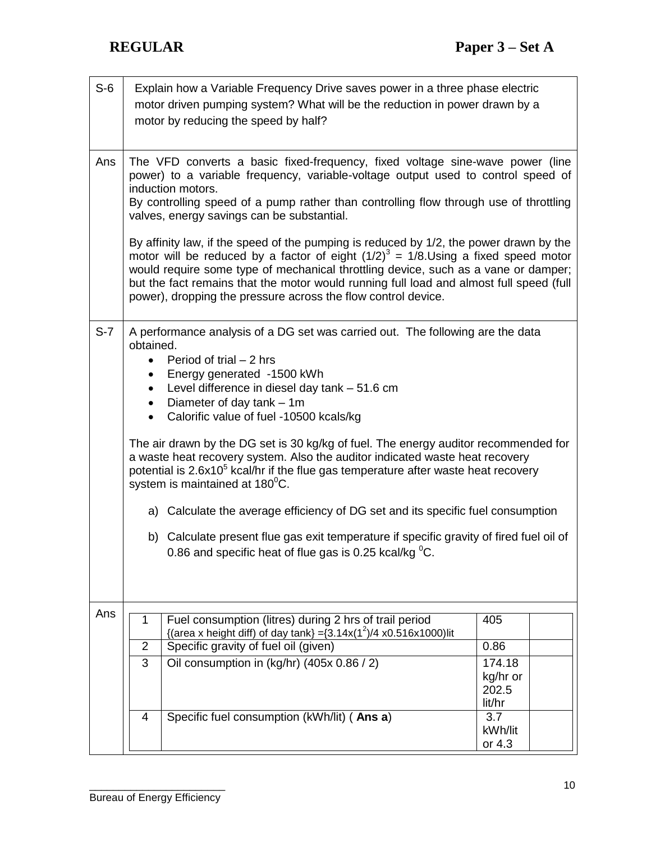| $S-6$ |                        | Explain how a Variable Frequency Drive saves power in a three phase electric<br>motor driven pumping system? What will be the reduction in power drawn by a<br>motor by reducing the speed by half?                                                                                                                                                                                                                                |                   |  |
|-------|------------------------|------------------------------------------------------------------------------------------------------------------------------------------------------------------------------------------------------------------------------------------------------------------------------------------------------------------------------------------------------------------------------------------------------------------------------------|-------------------|--|
| Ans   |                        | The VFD converts a basic fixed-frequency, fixed voltage sine-wave power (line<br>power) to a variable frequency, variable-voltage output used to control speed of<br>induction motors.                                                                                                                                                                                                                                             |                   |  |
|       |                        | By controlling speed of a pump rather than controlling flow through use of throttling<br>valves, energy savings can be substantial.                                                                                                                                                                                                                                                                                                |                   |  |
|       |                        | By affinity law, if the speed of the pumping is reduced by 1/2, the power drawn by the<br>motor will be reduced by a factor of eight $(1/2)^3 = 1/8$ . Using a fixed speed motor<br>would require some type of mechanical throttling device, such as a vane or damper;<br>but the fact remains that the motor would running full load and almost full speed (full<br>power), dropping the pressure across the flow control device. |                   |  |
| $S-7$ | obtained.              | A performance analysis of a DG set was carried out. The following are the data                                                                                                                                                                                                                                                                                                                                                     |                   |  |
|       | $\bullet$              | Period of trial $-2$ hrs                                                                                                                                                                                                                                                                                                                                                                                                           |                   |  |
|       | $\bullet$<br>$\bullet$ | Energy generated -1500 kWh<br>Level difference in diesel day tank - 51.6 cm                                                                                                                                                                                                                                                                                                                                                        |                   |  |
|       | $\bullet$              | Diameter of day tank - 1m<br>Calorific value of fuel -10500 kcals/kg                                                                                                                                                                                                                                                                                                                                                               |                   |  |
|       |                        |                                                                                                                                                                                                                                                                                                                                                                                                                                    |                   |  |
|       |                        | The air drawn by the DG set is 30 kg/kg of fuel. The energy auditor recommended for<br>a waste heat recovery system. Also the auditor indicated waste heat recovery<br>potential is 2.6x10 <sup>5</sup> kcal/hr if the flue gas temperature after waste heat recovery<br>system is maintained at 180 <sup>°</sup> C.                                                                                                               |                   |  |
|       |                        | a) Calculate the average efficiency of DG set and its specific fuel consumption                                                                                                                                                                                                                                                                                                                                                    |                   |  |
|       |                        | b) Calculate present flue gas exit temperature if specific gravity of fired fuel oil of<br>0.86 and specific heat of flue gas is 0.25 kcal/kg °C.                                                                                                                                                                                                                                                                                  |                   |  |
|       |                        |                                                                                                                                                                                                                                                                                                                                                                                                                                    |                   |  |
| Ans   | 1                      | Fuel consumption (litres) during 2 hrs of trail period<br>{(area x height diff) of day tank} = $(3.14x(1^2)/4x0.516x1000)$ lit                                                                                                                                                                                                                                                                                                     | 405               |  |
|       | $\overline{2}$         | Specific gravity of fuel oil (given)                                                                                                                                                                                                                                                                                                                                                                                               | 0.86              |  |
|       | 3                      | Oil consumption in (kg/hr) (405x 0.86 / 2)                                                                                                                                                                                                                                                                                                                                                                                         | 174.18            |  |
|       |                        |                                                                                                                                                                                                                                                                                                                                                                                                                                    | kg/hr or<br>202.5 |  |
|       | 4                      | Specific fuel consumption (kWh/lit) (Ans a)                                                                                                                                                                                                                                                                                                                                                                                        | lit/hr<br>3.7     |  |
|       |                        |                                                                                                                                                                                                                                                                                                                                                                                                                                    | kWh/lit           |  |
|       |                        |                                                                                                                                                                                                                                                                                                                                                                                                                                    | or 4.3            |  |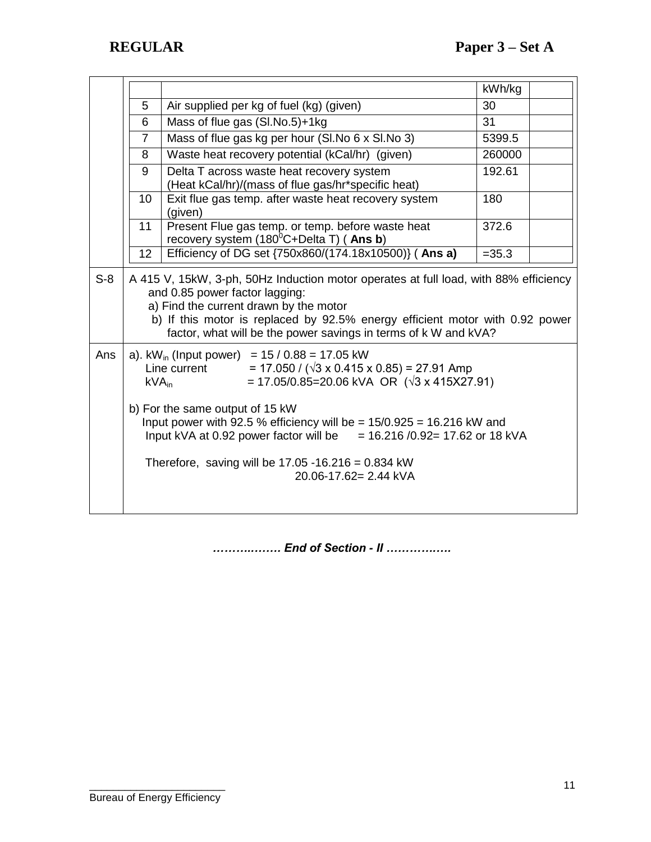|       |                              |                                                                                                                                                                                                                                                                                                                     | kWh/kg   |  |
|-------|------------------------------|---------------------------------------------------------------------------------------------------------------------------------------------------------------------------------------------------------------------------------------------------------------------------------------------------------------------|----------|--|
|       | 5                            | Air supplied per kg of fuel (kg) (given)                                                                                                                                                                                                                                                                            | 30       |  |
|       | 6                            | Mass of flue gas (SI.No.5)+1kg                                                                                                                                                                                                                                                                                      | 31       |  |
|       | $\overline{7}$               | Mass of flue gas kg per hour (SI.No 6 x SI.No 3)                                                                                                                                                                                                                                                                    | 5399.5   |  |
|       | 8                            | Waste heat recovery potential (kCal/hr) (given)                                                                                                                                                                                                                                                                     | 260000   |  |
|       | 9                            | Delta T across waste heat recovery system<br>(Heat kCal/hr)/(mass of flue gas/hr*specific heat)                                                                                                                                                                                                                     | 192.61   |  |
|       | 10                           | Exit flue gas temp. after waste heat recovery system<br>(given)                                                                                                                                                                                                                                                     | 180      |  |
|       | 11                           | Present Flue gas temp. or temp. before waste heat<br>recovery system (180°C+Delta T) (Ans b)                                                                                                                                                                                                                        | 372.6    |  |
|       | 12                           | Efficiency of DG set {750x860/(174.18x10500)} (Ans a)                                                                                                                                                                                                                                                               | $= 35.3$ |  |
| $S-8$ |                              | A 415 V, 15kW, 3-ph, 50Hz Induction motor operates at full load, with 88% efficiency<br>and 0.85 power factor lagging:<br>a) Find the current drawn by the motor<br>b) If this motor is replaced by 92.5% energy efficient motor with 0.92 power<br>factor, what will be the power savings in terms of k W and kVA? |          |  |
| Ans   | $\mathsf{kVA}_{\mathsf{in}}$ | a). $kW_{in}$ (Input power) = 15 / 0.88 = 17.05 kW<br>$= 17.050 / (\sqrt{3} \times 0.415 \times 0.85) = 27.91$ Amp<br>Line current<br>$= 17.05/0.85 = 20.06$ kVA OR ( $\sqrt{3}$ x 415X27.91)                                                                                                                       |          |  |
|       |                              | b) For the same output of 15 kW<br>Input power with 92.5 % efficiency will be = $15/0.925 = 16.216$ kW and<br>Input kVA at 0.92 power factor will be $= 16.216/0.92 = 17.62$ or 18 kVA                                                                                                                              |          |  |
|       |                              | Therefore, saving will be $17.05 - 16.216 = 0.834$ kW<br>20.06-17.62= 2.44 kVA                                                                                                                                                                                                                                      |          |  |

*………..……. End of Section - II ………….….*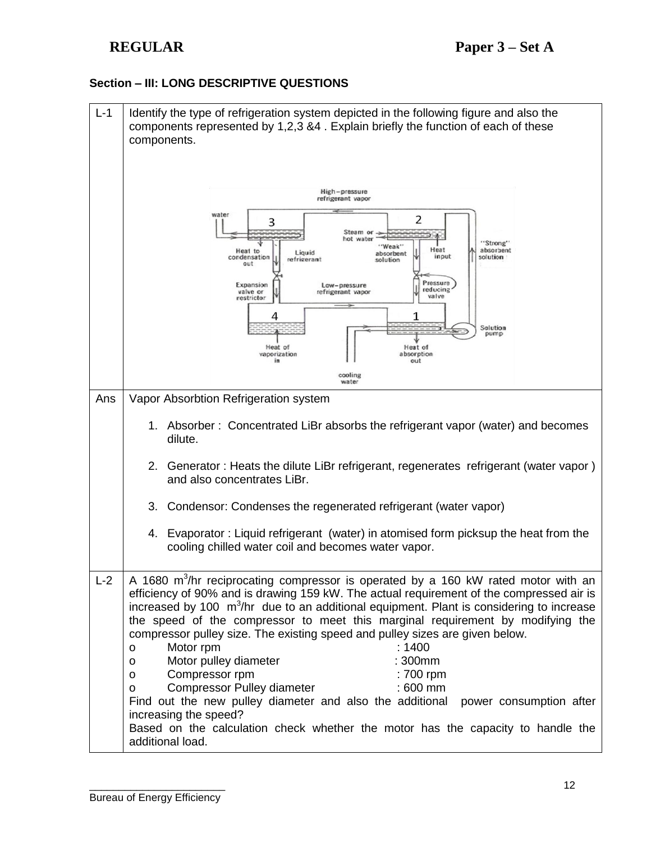## **Section – III: LONG DESCRIPTIVE QUESTIONS**

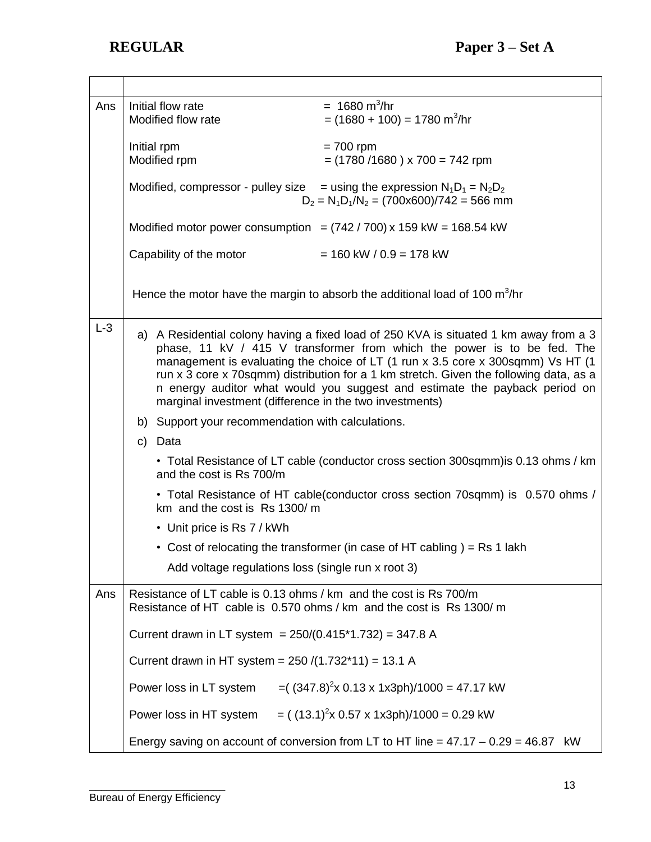| Ans   | $= 1680 \text{ m}^3/\text{hr}$<br>Initial flow rate<br>$= (1680 + 100) = 1780$ m <sup>3</sup> /hr<br>Modified flow rate                                                                                                                                                                                                                                                                                                                                                                |
|-------|----------------------------------------------------------------------------------------------------------------------------------------------------------------------------------------------------------------------------------------------------------------------------------------------------------------------------------------------------------------------------------------------------------------------------------------------------------------------------------------|
|       | Initial rpm<br>$= 700$ rpm                                                                                                                                                                                                                                                                                                                                                                                                                                                             |
|       | Modified rpm<br>$=$ (1780/1680) x 700 = 742 rpm                                                                                                                                                                                                                                                                                                                                                                                                                                        |
|       | Modified, compressor - pulley size $=$ using the expression $N_1D_1 = N_2D_2$<br>$D_2 = N_1 D_1/N_2 = (700 \times 600)/742 = 566$ mm                                                                                                                                                                                                                                                                                                                                                   |
|       | Modified motor power consumption = $(742 / 700)$ x 159 kW = 168.54 kW                                                                                                                                                                                                                                                                                                                                                                                                                  |
|       | Capability of the motor<br>$= 160$ kW / 0.9 = 178 kW                                                                                                                                                                                                                                                                                                                                                                                                                                   |
|       | Hence the motor have the margin to absorb the additional load of 100 $\mathrm{m}^3/\mathrm{hr}$                                                                                                                                                                                                                                                                                                                                                                                        |
| $L-3$ | a) A Residential colony having a fixed load of 250 KVA is situated 1 km away from a 3<br>phase, 11 kV / 415 V transformer from which the power is to be fed. The<br>management is evaluating the choice of LT (1 run x 3.5 core x 300sqmm) Vs HT (1<br>run x 3 core x 70sqmm) distribution for a 1 km stretch. Given the following data, as a<br>n energy auditor what would you suggest and estimate the payback period on<br>marginal investment (difference in the two investments) |
|       | b) Support your recommendation with calculations.                                                                                                                                                                                                                                                                                                                                                                                                                                      |
|       | Data<br>$\mathsf{C}$                                                                                                                                                                                                                                                                                                                                                                                                                                                                   |
|       | • Total Resistance of LT cable (conductor cross section 300sqmm) is 0.13 ohms / km<br>and the cost is Rs 700/m                                                                                                                                                                                                                                                                                                                                                                         |
|       | • Total Resistance of HT cable(conductor cross section 70sqmm) is 0.570 ohms /<br>km and the cost is Rs 1300/ m                                                                                                                                                                                                                                                                                                                                                                        |
|       | • Unit price is Rs 7 / kWh                                                                                                                                                                                                                                                                                                                                                                                                                                                             |
|       | • Cost of relocating the transformer (in case of HT cabling ) = Rs 1 lakh                                                                                                                                                                                                                                                                                                                                                                                                              |
|       | Add voltage regulations loss (single run x root 3)                                                                                                                                                                                                                                                                                                                                                                                                                                     |
| Ans   | Resistance of LT cable is 0.13 ohms / km and the cost is Rs 700/m<br>Resistance of HT cable is 0.570 ohms / km and the cost is Rs 1300/ m                                                                                                                                                                                                                                                                                                                                              |
|       | Current drawn in LT system = $250/(0.415*1.732) = 347.8$ A                                                                                                                                                                                                                                                                                                                                                                                                                             |
|       | Current drawn in HT system = $250 / (1.732*11) = 13.1$ A                                                                                                                                                                                                                                                                                                                                                                                                                               |
|       | $= ( (347.8)^2 \times 0.13 \times 1 \times 3ph)/1000 = 47.17$ kW<br>Power loss in LT system                                                                                                                                                                                                                                                                                                                                                                                            |
|       | $=$ ((13.1) <sup>2</sup> x 0.57 x 1x3ph)/1000 = 0.29 kW<br>Power loss in HT system                                                                                                                                                                                                                                                                                                                                                                                                     |
|       | Energy saving on account of conversion from LT to HT line = $47.17 - 0.29 = 46.87$ kW                                                                                                                                                                                                                                                                                                                                                                                                  |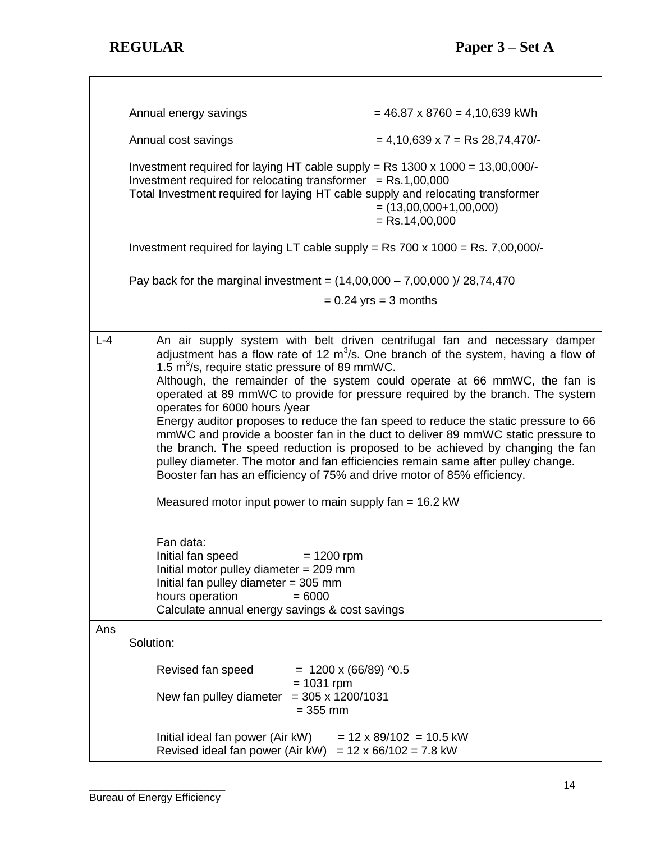٦

|         | Annual energy savings                                                                                                                                                                                                                                                                                                                                                                                                                                                                                                                                                                                                                                                                                                                                                                                                                                                                                            | $= 46.87 \times 8760 = 4,10,639$ kWh         |  |
|---------|------------------------------------------------------------------------------------------------------------------------------------------------------------------------------------------------------------------------------------------------------------------------------------------------------------------------------------------------------------------------------------------------------------------------------------------------------------------------------------------------------------------------------------------------------------------------------------------------------------------------------------------------------------------------------------------------------------------------------------------------------------------------------------------------------------------------------------------------------------------------------------------------------------------|----------------------------------------------|--|
|         | Annual cost savings                                                                                                                                                                                                                                                                                                                                                                                                                                                                                                                                                                                                                                                                                                                                                                                                                                                                                              | $= 4,10,639 \times 7 =$ Rs 28,74,470/-       |  |
|         | Investment required for laying HT cable supply = Rs $1300 \times 1000 = 13,00,000/$ -<br>Investment required for relocating transformer $=$ Rs.1,00,000<br>Total Investment required for laying HT cable supply and relocating transformer<br>$=$ (13,00,000+1,00,000)<br>$=$ Rs.14,00,000                                                                                                                                                                                                                                                                                                                                                                                                                                                                                                                                                                                                                       |                                              |  |
|         | Investment required for laying LT cable supply = Rs $700 \times 1000 =$ Rs. $7,00,000/$                                                                                                                                                                                                                                                                                                                                                                                                                                                                                                                                                                                                                                                                                                                                                                                                                          |                                              |  |
|         | Pay back for the marginal investment = $(14,00,000 - 7,00,000)$ / 28,74,470                                                                                                                                                                                                                                                                                                                                                                                                                                                                                                                                                                                                                                                                                                                                                                                                                                      |                                              |  |
|         |                                                                                                                                                                                                                                                                                                                                                                                                                                                                                                                                                                                                                                                                                                                                                                                                                                                                                                                  | $= 0.24$ yrs = 3 months                      |  |
|         |                                                                                                                                                                                                                                                                                                                                                                                                                                                                                                                                                                                                                                                                                                                                                                                                                                                                                                                  |                                              |  |
| $L - 4$ | An air supply system with belt driven centrifugal fan and necessary damper<br>adjustment has a flow rate of 12 $m^3/s$ . One branch of the system, having a flow of<br>1.5 $m^3$ /s, require static pressure of 89 mmWC.<br>Although, the remainder of the system could operate at 66 mmWC, the fan is<br>operated at 89 mmWC to provide for pressure required by the branch. The system<br>operates for 6000 hours /year<br>Energy auditor proposes to reduce the fan speed to reduce the static pressure to 66<br>mmWC and provide a booster fan in the duct to deliver 89 mmWC static pressure to<br>the branch. The speed reduction is proposed to be achieved by changing the fan<br>pulley diameter. The motor and fan efficiencies remain same after pulley change.<br>Booster fan has an efficiency of 75% and drive motor of 85% efficiency.<br>Measured motor input power to main supply fan = 16.2 kW |                                              |  |
|         | Fan data:<br>Initial fan speed<br>Initial motor pulley diameter $= 209$ mm<br>Initial fan pulley diameter $=$ 305 mm<br>hours operation<br>Calculate annual energy savings & cost savings                                                                                                                                                                                                                                                                                                                                                                                                                                                                                                                                                                                                                                                                                                                        | $= 1200$ rpm<br>$= 6000$                     |  |
| Ans     |                                                                                                                                                                                                                                                                                                                                                                                                                                                                                                                                                                                                                                                                                                                                                                                                                                                                                                                  |                                              |  |
|         | Solution:                                                                                                                                                                                                                                                                                                                                                                                                                                                                                                                                                                                                                                                                                                                                                                                                                                                                                                        |                                              |  |
|         | Revised fan speed                                                                                                                                                                                                                                                                                                                                                                                                                                                                                                                                                                                                                                                                                                                                                                                                                                                                                                | $= 1200 \times (66/89)$ ^0.5<br>$= 1031$ rpm |  |
|         | New fan pulley diameter                                                                                                                                                                                                                                                                                                                                                                                                                                                                                                                                                                                                                                                                                                                                                                                                                                                                                          | $=$ 305 x 1200/1031<br>$= 355$ mm            |  |
|         | Initial ideal fan power (Air kW)<br>$= 12 \times 89/102 = 10.5$ kW<br>Revised ideal fan power (Air kW) = $12 \times 66/102 = 7.8$ kW                                                                                                                                                                                                                                                                                                                                                                                                                                                                                                                                                                                                                                                                                                                                                                             |                                              |  |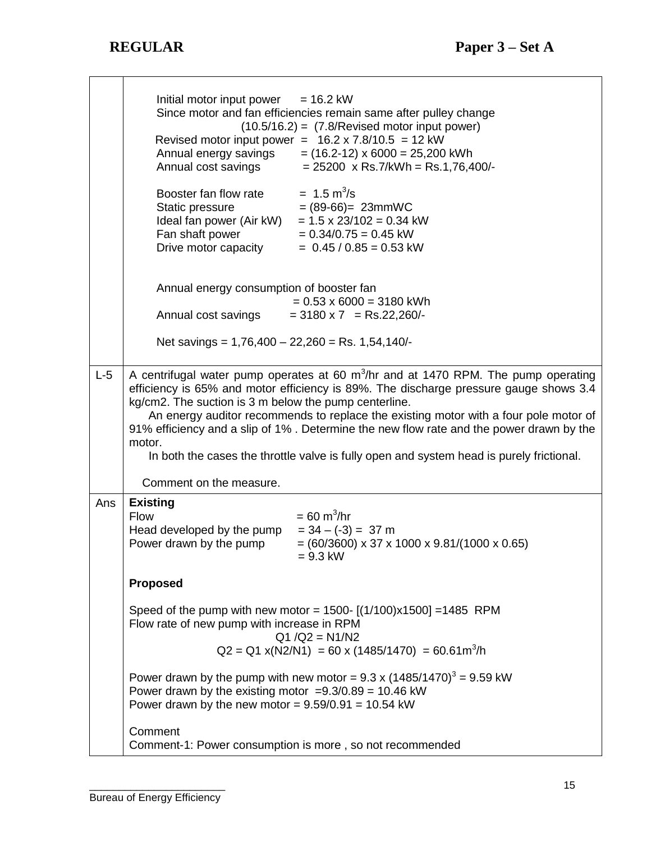|       | Initial motor input power $= 16.2$ kW<br>Since motor and fan efficiencies remain same after pulley change<br>$(10.5/16.2) = (7.8/Revised motor input power)$<br>Revised motor input power = $16.2 \times 7.8/10.5 = 12 \text{ kW}$<br>Annual energy savings<br>$= (16.2 - 12) \times 6000 = 25,200$ kWh<br>Annual cost savings<br>$= 25200 \times \text{Rs}.7/\text{kWh} = \text{Rs}.1,76,400/$ -<br>$= 1.5 \text{ m}^3/\text{s}$<br>Booster fan flow rate<br>$= (89-66) = 23$ mmWC<br>Static pressure<br>Static pressure<br>Ideal fan power (Air kW)<br>$= 1.5 \times 23/102 = 0.34$ kW<br>Fan shaft power<br>$= 0.34/0.75 = 0.45$ kW<br>Drive motor capacity<br>$= 0.45 / 0.85 = 0.53$ kW |
|-------|---------------------------------------------------------------------------------------------------------------------------------------------------------------------------------------------------------------------------------------------------------------------------------------------------------------------------------------------------------------------------------------------------------------------------------------------------------------------------------------------------------------------------------------------------------------------------------------------------------------------------------------------------------------------------------------------|
|       | Annual energy consumption of booster fan<br>$= 0.53 \times 6000 = 3180$ kWh<br>$=$ 3180 x 7 = Rs.22,260/-<br>Annual cost savings                                                                                                                                                                                                                                                                                                                                                                                                                                                                                                                                                            |
|       | Net savings = $1,76,400 - 22,260 = \text{Rs. } 1,54,140$ /-                                                                                                                                                                                                                                                                                                                                                                                                                                                                                                                                                                                                                                 |
| $L-5$ | A centrifugal water pump operates at 60 m <sup>3</sup> /hr and at 1470 RPM. The pump operating<br>efficiency is 65% and motor efficiency is 89%. The discharge pressure gauge shows 3.4<br>kg/cm2. The suction is 3 m below the pump centerline.<br>An energy auditor recommends to replace the existing motor with a four pole motor of<br>91% efficiency and a slip of 1%. Determine the new flow rate and the power drawn by the<br>motor.<br>In both the cases the throttle valve is fully open and system head is purely frictional.<br>Comment on the measure.                                                                                                                        |
| Ans   | <b>Existing</b><br>$= 60 \text{ m}^3/\text{hr}$<br><b>Flow</b><br>Head developed by the pump<br>$= 34 - (-3) = 37$ m<br>Power drawn by the pump<br>$= (60/3600) \times 37 \times 1000 \times 9.81/(1000 \times 0.65)$<br>$= 9.3$ kW                                                                                                                                                                                                                                                                                                                                                                                                                                                         |
|       | <b>Proposed</b><br>Speed of the pump with new motor = 1500- $[(1/100)x1500]$ = 1485 RPM<br>Flow rate of new pump with increase in RPM<br>$Q1/Q2 = N1/N2$<br>$Q2 = Q1 x(N2/N1) = 60 x (1485/1470) = 60.61 m3/h$<br>Power drawn by the pump with new motor = $9.3 \times (1485/1470)^3 = 9.59 \text{ kW}$                                                                                                                                                                                                                                                                                                                                                                                     |
|       | Power drawn by the existing motor = $9.3/0.89 = 10.46$ kW<br>Power drawn by the new motor = $9.59/0.91 = 10.54$ kW                                                                                                                                                                                                                                                                                                                                                                                                                                                                                                                                                                          |
|       | Comment<br>Comment-1: Power consumption is more, so not recommended                                                                                                                                                                                                                                                                                                                                                                                                                                                                                                                                                                                                                         |